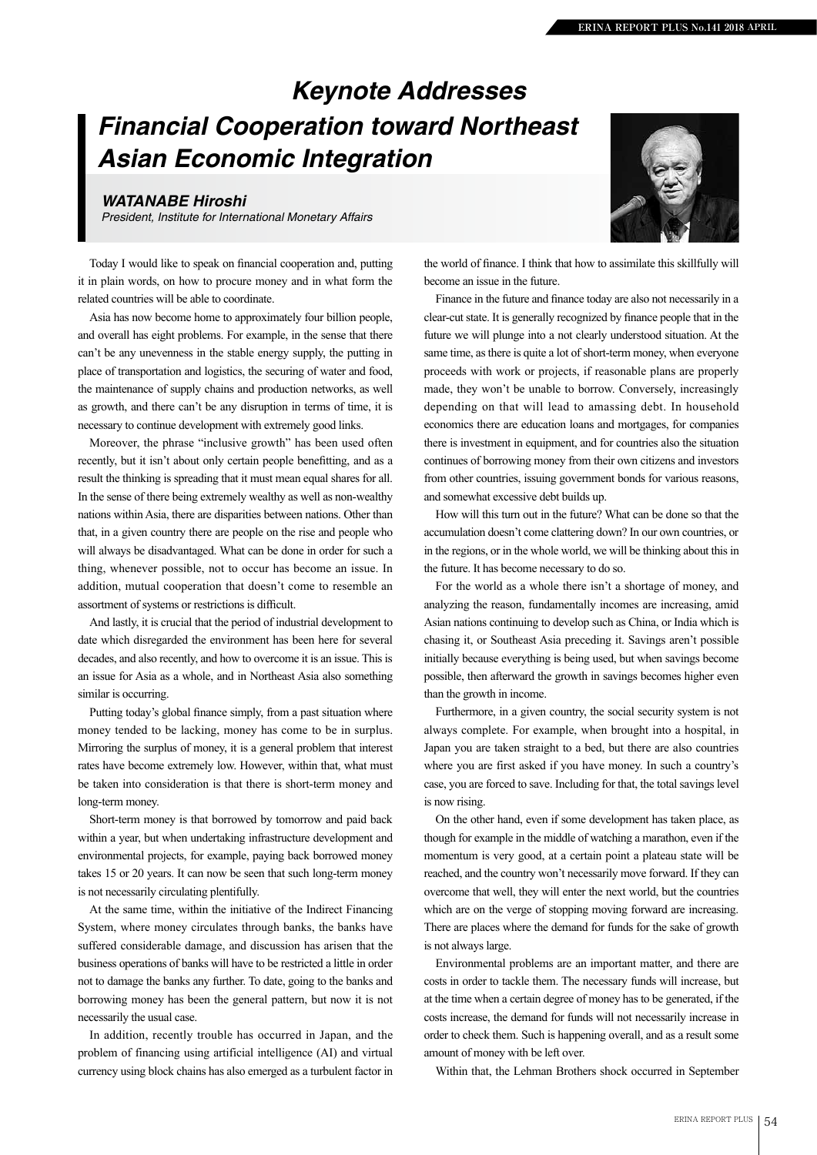## *Keynote Addresses Financial Cooperation toward Northeast Asian Economic Integration*

## *WATANABE Hiroshi*

*President, Institute for International Monetary Affairs*

Today I would like to speak on financial cooperation and, putting it in plain words, on how to procure money and in what form the related countries will be able to coordinate.

Asia has now become home to approximately four billion people, and overall has eight problems. For example, in the sense that there can't be any unevenness in the stable energy supply, the putting in place of transportation and logistics, the securing of water and food, the maintenance of supply chains and production networks, as well as growth, and there can't be any disruption in terms of time, it is necessary to continue development with extremely good links.

Moreover, the phrase "inclusive growth" has been used often recently, but it isn't about only certain people benefitting, and as a result the thinking is spreading that it must mean equal shares for all. In the sense of there being extremely wealthy as well as non-wealthy nations within Asia, there are disparities between nations. Other than that, in a given country there are people on the rise and people who will always be disadvantaged. What can be done in order for such a thing, whenever possible, not to occur has become an issue. In addition, mutual cooperation that doesn't come to resemble an assortment of systems or restrictions is difficult.

And lastly, it is crucial that the period of industrial development to date which disregarded the environment has been here for several decades, and also recently, and how to overcome it is an issue. This is an issue for Asia as a whole, and in Northeast Asia also something similar is occurring.

Putting today's global finance simply, from a past situation where money tended to be lacking, money has come to be in surplus. Mirroring the surplus of money, it is a general problem that interest rates have become extremely low. However, within that, what must be taken into consideration is that there is short-term money and long-term money.

Short-term money is that borrowed by tomorrow and paid back within a year, but when undertaking infrastructure development and environmental projects, for example, paying back borrowed money takes 15 or 20 years. It can now be seen that such long-term money is not necessarily circulating plentifully.

At the same time, within the initiative of the Indirect Financing System, where money circulates through banks, the banks have suffered considerable damage, and discussion has arisen that the business operations of banks will have to be restricted a little in order not to damage the banks any further. To date, going to the banks and borrowing money has been the general pattern, but now it is not necessarily the usual case.

In addition, recently trouble has occurred in Japan, and the problem of financing using artificial intelligence (AI) and virtual currency using block chains has also emerged as a turbulent factor in



the world of finance. I think that how to assimilate this skillfully will become an issue in the future.

Finance in the future and finance today are also not necessarily in a clear-cut state. It is generally recognized by finance people that in the future we will plunge into a not clearly understood situation. At the same time, as there is quite a lot of short-term money, when everyone proceeds with work or projects, if reasonable plans are properly made, they won't be unable to borrow. Conversely, increasingly depending on that will lead to amassing debt. In household economics there are education loans and mortgages, for companies there is investment in equipment, and for countries also the situation continues of borrowing money from their own citizens and investors from other countries, issuing government bonds for various reasons, and somewhat excessive debt builds up.

How will this turn out in the future? What can be done so that the accumulation doesn't come clattering down? In our own countries, or in the regions, or in the whole world, we will be thinking about this in the future. It has become necessary to do so.

For the world as a whole there isn't a shortage of money, and analyzing the reason, fundamentally incomes are increasing, amid Asian nations continuing to develop such as China, or India which is chasing it, or Southeast Asia preceding it. Savings aren't possible initially because everything is being used, but when savings become possible, then afterward the growth in savings becomes higher even than the growth in income.

Furthermore, in a given country, the social security system is not always complete. For example, when brought into a hospital, in Japan you are taken straight to a bed, but there are also countries where you are first asked if you have money. In such a country's case, you are forced to save. Including for that, the total savings level is now rising.

On the other hand, even if some development has taken place, as though for example in the middle of watching a marathon, even if the momentum is very good, at a certain point a plateau state will be reached, and the country won't necessarily move forward. If they can overcome that well, they will enter the next world, but the countries which are on the verge of stopping moving forward are increasing. There are places where the demand for funds for the sake of growth is not always large.

Environmental problems are an important matter, and there are costs in order to tackle them. The necessary funds will increase, but at the time when a certain degree of money has to be generated, if the costs increase, the demand for funds will not necessarily increase in order to check them. Such is happening overall, and as a result some amount of money with be left over.

Within that, the Lehman Brothers shock occurred in September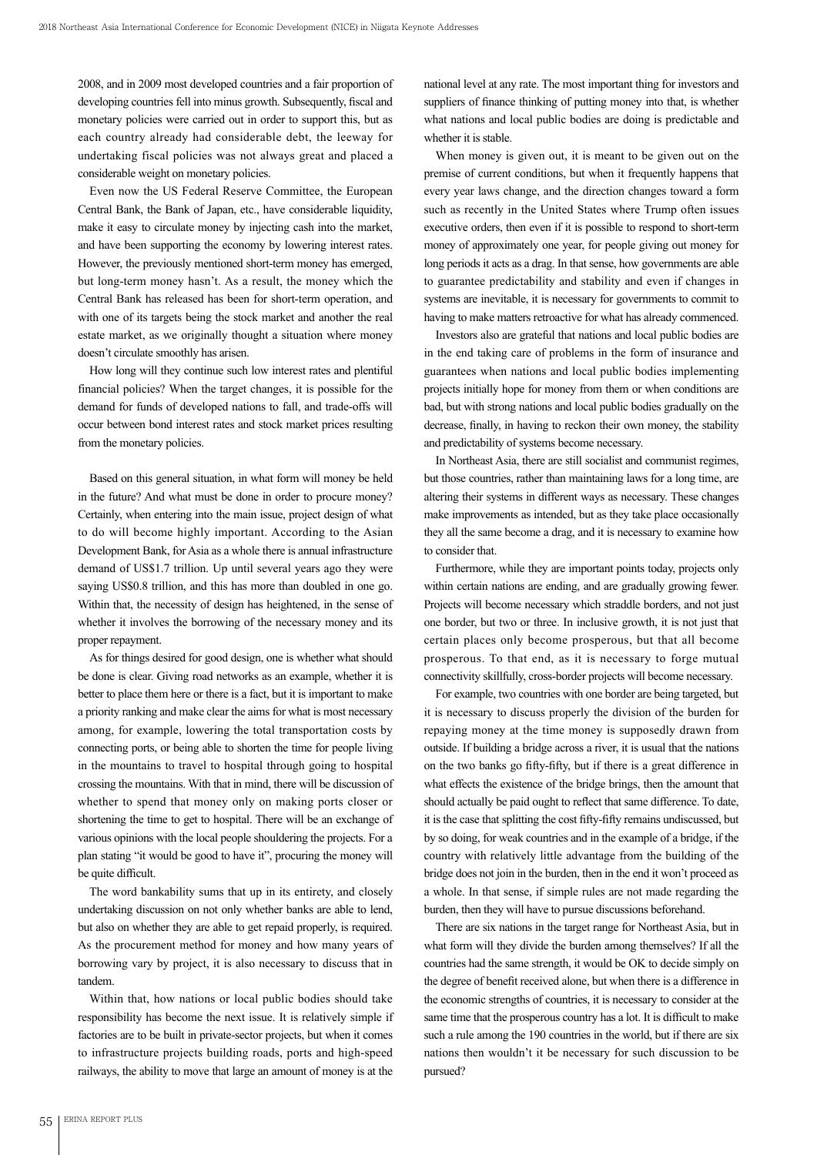2008, and in 2009 most developed countries and a fair proportion of developing countries fell into minus growth. Subsequently, fiscal and monetary policies were carried out in order to support this, but as each country already had considerable debt, the leeway for undertaking fiscal policies was not always great and placed a considerable weight on monetary policies.

Even now the US Federal Reserve Committee, the European Central Bank, the Bank of Japan, etc., have considerable liquidity, make it easy to circulate money by injecting cash into the market, and have been supporting the economy by lowering interest rates. However, the previously mentioned short-term money has emerged, but long-term money hasn't. As a result, the money which the Central Bank has released has been for short-term operation, and with one of its targets being the stock market and another the real estate market, as we originally thought a situation where money doesn't circulate smoothly has arisen.

How long will they continue such low interest rates and plentiful financial policies? When the target changes, it is possible for the demand for funds of developed nations to fall, and trade-offs will occur between bond interest rates and stock market prices resulting from the monetary policies.

Based on this general situation, in what form will money be held in the future? And what must be done in order to procure money? Certainly, when entering into the main issue, project design of what to do will become highly important. According to the Asian Development Bank, for Asia as a whole there is annual infrastructure demand of US\$1.7 trillion. Up until several years ago they were saying US\$0.8 trillion, and this has more than doubled in one go. Within that, the necessity of design has heightened, in the sense of whether it involves the borrowing of the necessary money and its proper repayment.

As for things desired for good design, one is whether what should be done is clear. Giving road networks as an example, whether it is better to place them here or there is a fact, but it is important to make a priority ranking and make clear the aims for what is most necessary among, for example, lowering the total transportation costs by connecting ports, or being able to shorten the time for people living in the mountains to travel to hospital through going to hospital crossing the mountains. With that in mind, there will be discussion of whether to spend that money only on making ports closer or shortening the time to get to hospital. There will be an exchange of various opinions with the local people shouldering the projects. For a plan stating "it would be good to have it", procuring the money will be quite difficult.

The word bankability sums that up in its entirety, and closely undertaking discussion on not only whether banks are able to lend, but also on whether they are able to get repaid properly, is required. As the procurement method for money and how many years of borrowing vary by project, it is also necessary to discuss that in tandem.

Within that, how nations or local public bodies should take responsibility has become the next issue. It is relatively simple if factories are to be built in private-sector projects, but when it comes to infrastructure projects building roads, ports and high-speed railways, the ability to move that large an amount of money is at the

national level at any rate. The most important thing for investors and suppliers of finance thinking of putting money into that, is whether what nations and local public bodies are doing is predictable and whether it is stable.

When money is given out, it is meant to be given out on the premise of current conditions, but when it frequently happens that every year laws change, and the direction changes toward a form such as recently in the United States where Trump often issues executive orders, then even if it is possible to respond to short-term money of approximately one year, for people giving out money for long periods it acts as a drag. In that sense, how governments are able to guarantee predictability and stability and even if changes in systems are inevitable, it is necessary for governments to commit to having to make matters retroactive for what has already commenced.

Investors also are grateful that nations and local public bodies are in the end taking care of problems in the form of insurance and guarantees when nations and local public bodies implementing projects initially hope for money from them or when conditions are bad, but with strong nations and local public bodies gradually on the decrease, finally, in having to reckon their own money, the stability and predictability of systems become necessary.

In Northeast Asia, there are still socialist and communist regimes, but those countries, rather than maintaining laws for a long time, are altering their systems in different ways as necessary. These changes make improvements as intended, but as they take place occasionally they all the same become a drag, and it is necessary to examine how to consider that.

Furthermore, while they are important points today, projects only within certain nations are ending, and are gradually growing fewer. Projects will become necessary which straddle borders, and not just one border, but two or three. In inclusive growth, it is not just that certain places only become prosperous, but that all become prosperous. To that end, as it is necessary to forge mutual connectivity skillfully, cross-border projects will become necessary.

For example, two countries with one border are being targeted, but it is necessary to discuss properly the division of the burden for repaying money at the time money is supposedly drawn from outside. If building a bridge across a river, it is usual that the nations on the two banks go fifty-fifty, but if there is a great difference in what effects the existence of the bridge brings, then the amount that should actually be paid ought to reflect that same difference. To date, it is the case that splitting the cost fifty-fifty remains undiscussed, but by so doing, for weak countries and in the example of a bridge, if the country with relatively little advantage from the building of the bridge does not join in the burden, then in the end it won't proceed as a whole. In that sense, if simple rules are not made regarding the burden, then they will have to pursue discussions beforehand.

There are six nations in the target range for Northeast Asia, but in what form will they divide the burden among themselves? If all the countries had the same strength, it would be OK to decide simply on the degree of benefit received alone, but when there is a difference in the economic strengths of countries, it is necessary to consider at the same time that the prosperous country has a lot. It is difficult to make such a rule among the 190 countries in the world, but if there are six nations then wouldn't it be necessary for such discussion to be pursued?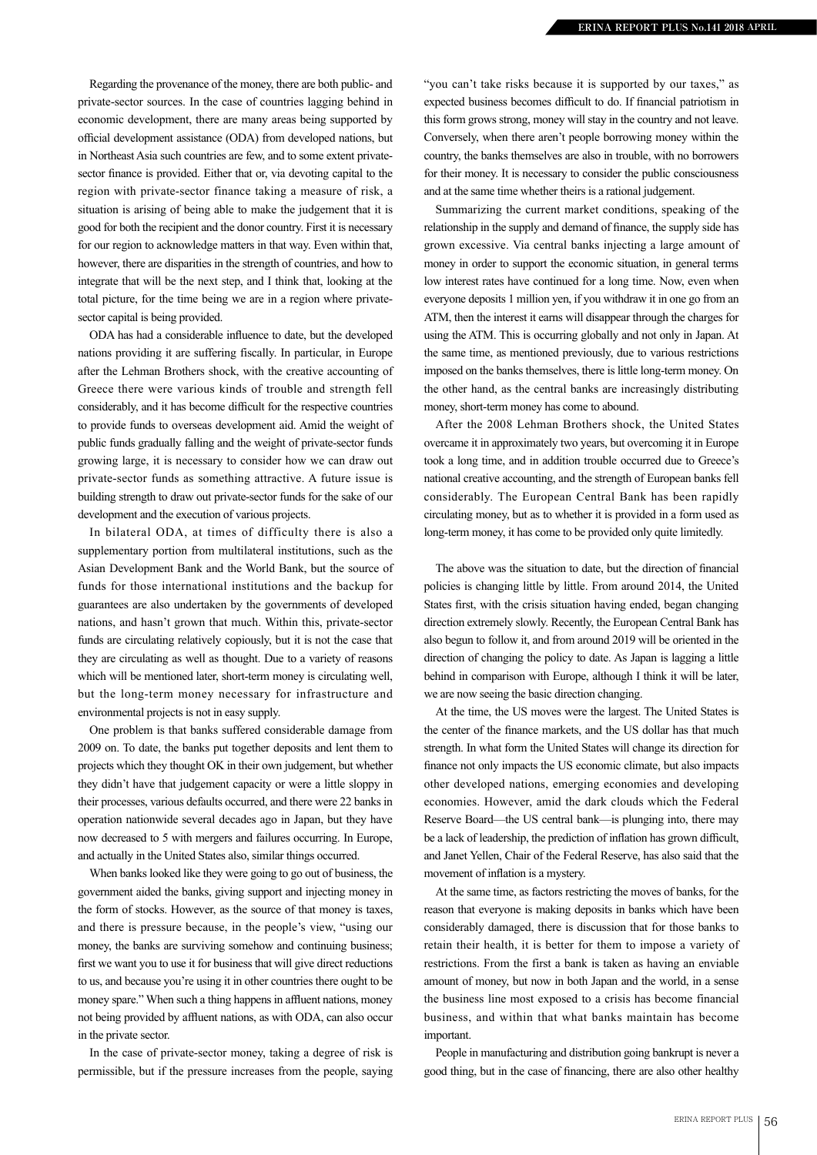Regarding the provenance of the money, there are both public- and private-sector sources. In the case of countries lagging behind in economic development, there are many areas being supported by official development assistance (ODA) from developed nations, but in Northeast Asia such countries are few, and to some extent privatesector finance is provided. Either that or, via devoting capital to the region with private-sector finance taking a measure of risk, a situation is arising of being able to make the judgement that it is good for both the recipient and the donor country. First it is necessary for our region to acknowledge matters in that way. Even within that, however, there are disparities in the strength of countries, and how to integrate that will be the next step, and I think that, looking at the total picture, for the time being we are in a region where privatesector capital is being provided.

ODA has had a considerable influence to date, but the developed nations providing it are suffering fiscally. In particular, in Europe after the Lehman Brothers shock, with the creative accounting of Greece there were various kinds of trouble and strength fell considerably, and it has become difficult for the respective countries to provide funds to overseas development aid. Amid the weight of public funds gradually falling and the weight of private-sector funds growing large, it is necessary to consider how we can draw out private-sector funds as something attractive. A future issue is building strength to draw out private-sector funds for the sake of our development and the execution of various projects.

In bilateral ODA, at times of difficulty there is also a supplementary portion from multilateral institutions, such as the Asian Development Bank and the World Bank, but the source of funds for those international institutions and the backup for guarantees are also undertaken by the governments of developed nations, and hasn't grown that much. Within this, private-sector funds are circulating relatively copiously, but it is not the case that they are circulating as well as thought. Due to a variety of reasons which will be mentioned later, short-term money is circulating well, but the long-term money necessary for infrastructure and environmental projects is not in easy supply.

One problem is that banks suffered considerable damage from 2009 on. To date, the banks put together deposits and lent them to projects which they thought OK in their own judgement, but whether they didn't have that judgement capacity or were a little sloppy in their processes, various defaults occurred, and there were 22 banks in operation nationwide several decades ago in Japan, but they have now decreased to 5 with mergers and failures occurring. In Europe, and actually in the United States also, similar things occurred.

When banks looked like they were going to go out of business, the government aided the banks, giving support and injecting money in the form of stocks. However, as the source of that money is taxes, and there is pressure because, in the people's view, "using our money, the banks are surviving somehow and continuing business; first we want you to use it for business that will give direct reductions to us, and because you're using it in other countries there ought to be money spare." When such a thing happens in affluent nations, money not being provided by affluent nations, as with ODA, can also occur in the private sector.

In the case of private-sector money, taking a degree of risk is permissible, but if the pressure increases from the people, saying

"you can't take risks because it is supported by our taxes," as expected business becomes difficult to do. If financial patriotism in this form grows strong, money will stay in the country and not leave. Conversely, when there aren't people borrowing money within the country, the banks themselves are also in trouble, with no borrowers for their money. It is necessary to consider the public consciousness and at the same time whether theirs is a rational judgement.

Summarizing the current market conditions, speaking of the relationship in the supply and demand of finance, the supply side has grown excessive. Via central banks injecting a large amount of money in order to support the economic situation, in general terms low interest rates have continued for a long time. Now, even when everyone deposits 1 million yen, if you withdraw it in one go from an ATM, then the interest it earns will disappear through the charges for using the ATM. This is occurring globally and not only in Japan. At the same time, as mentioned previously, due to various restrictions imposed on the banks themselves, there is little long-term money. On the other hand, as the central banks are increasingly distributing money, short-term money has come to abound.

After the 2008 Lehman Brothers shock, the United States overcame it in approximately two years, but overcoming it in Europe took a long time, and in addition trouble occurred due to Greece's national creative accounting, and the strength of European banks fell considerably. The European Central Bank has been rapidly circulating money, but as to whether it is provided in a form used as long-term money, it has come to be provided only quite limitedly.

The above was the situation to date, but the direction of financial policies is changing little by little. From around 2014, the United States first, with the crisis situation having ended, began changing direction extremely slowly. Recently, the European Central Bank has also begun to follow it, and from around 2019 will be oriented in the direction of changing the policy to date. As Japan is lagging a little behind in comparison with Europe, although I think it will be later, we are now seeing the basic direction changing.

At the time, the US moves were the largest. The United States is the center of the finance markets, and the US dollar has that much strength. In what form the United States will change its direction for finance not only impacts the US economic climate, but also impacts other developed nations, emerging economies and developing economies. However, amid the dark clouds which the Federal Reserve Board—the US central bank—is plunging into, there may be a lack of leadership, the prediction of inflation has grown difficult, and Janet Yellen, Chair of the Federal Reserve, has also said that the movement of inflation is a mystery.

At the same time, as factors restricting the moves of banks, for the reason that everyone is making deposits in banks which have been considerably damaged, there is discussion that for those banks to retain their health, it is better for them to impose a variety of restrictions. From the first a bank is taken as having an enviable amount of money, but now in both Japan and the world, in a sense the business line most exposed to a crisis has become financial business, and within that what banks maintain has become important.

People in manufacturing and distribution going bankrupt is never a good thing, but in the case of financing, there are also other healthy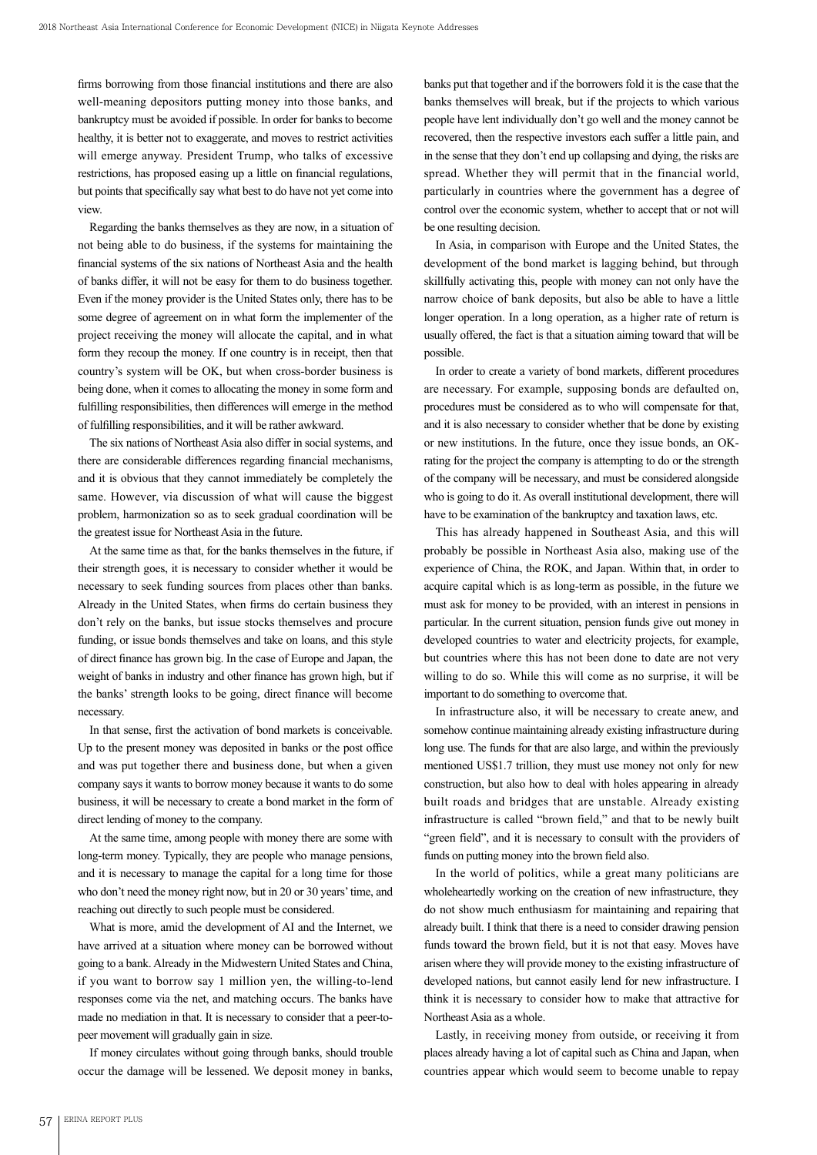firms borrowing from those financial institutions and there are also well-meaning depositors putting money into those banks, and bankruptcy must be avoided if possible. In order for banks to become healthy, it is better not to exaggerate, and moves to restrict activities will emerge anyway. President Trump, who talks of excessive restrictions, has proposed easing up a little on financial regulations, but points that specifically say what best to do have not yet come into view.

Regarding the banks themselves as they are now, in a situation of not being able to do business, if the systems for maintaining the financial systems of the six nations of Northeast Asia and the health of banks differ, it will not be easy for them to do business together. Even if the money provider is the United States only, there has to be some degree of agreement on in what form the implementer of the project receiving the money will allocate the capital, and in what form they recoup the money. If one country is in receipt, then that country's system will be OK, but when cross-border business is being done, when it comes to allocating the money in some form and fulfilling responsibilities, then differences will emerge in the method of fulfilling responsibilities, and it will be rather awkward.

The six nations of Northeast Asia also differ in social systems, and there are considerable differences regarding financial mechanisms, and it is obvious that they cannot immediately be completely the same. However, via discussion of what will cause the biggest problem, harmonization so as to seek gradual coordination will be the greatest issue for Northeast Asia in the future.

At the same time as that, for the banks themselves in the future, if their strength goes, it is necessary to consider whether it would be necessary to seek funding sources from places other than banks. Already in the United States, when firms do certain business they don't rely on the banks, but issue stocks themselves and procure funding, or issue bonds themselves and take on loans, and this style of direct finance has grown big. In the case of Europe and Japan, the weight of banks in industry and other finance has grown high, but if the banks' strength looks to be going, direct finance will become necessary.

In that sense, first the activation of bond markets is conceivable. Up to the present money was deposited in banks or the post office and was put together there and business done, but when a given company says it wants to borrow money because it wants to do some business, it will be necessary to create a bond market in the form of direct lending of money to the company.

At the same time, among people with money there are some with long-term money. Typically, they are people who manage pensions, and it is necessary to manage the capital for a long time for those who don't need the money right now, but in 20 or 30 years' time, and reaching out directly to such people must be considered.

What is more, amid the development of AI and the Internet, we have arrived at a situation where money can be borrowed without going to a bank. Already in the Midwestern United States and China, if you want to borrow say 1 million yen, the willing-to-lend responses come via the net, and matching occurs. The banks have made no mediation in that. It is necessary to consider that a peer-topeer movement will gradually gain in size.

If money circulates without going through banks, should trouble occur the damage will be lessened. We deposit money in banks,

banks put that together and if the borrowers fold it is the case that the banks themselves will break, but if the projects to which various people have lent individually don't go well and the money cannot be recovered, then the respective investors each suffer a little pain, and in the sense that they don't end up collapsing and dying, the risks are spread. Whether they will permit that in the financial world, particularly in countries where the government has a degree of control over the economic system, whether to accept that or not will be one resulting decision.

In Asia, in comparison with Europe and the United States, the development of the bond market is lagging behind, but through skillfully activating this, people with money can not only have the narrow choice of bank deposits, but also be able to have a little longer operation. In a long operation, as a higher rate of return is usually offered, the fact is that a situation aiming toward that will be possible.

In order to create a variety of bond markets, different procedures are necessary. For example, supposing bonds are defaulted on, procedures must be considered as to who will compensate for that, and it is also necessary to consider whether that be done by existing or new institutions. In the future, once they issue bonds, an OKrating for the project the company is attempting to do or the strength of the company will be necessary, and must be considered alongside who is going to do it. As overall institutional development, there will have to be examination of the bankruptcy and taxation laws, etc.

This has already happened in Southeast Asia, and this will probably be possible in Northeast Asia also, making use of the experience of China, the ROK, and Japan. Within that, in order to acquire capital which is as long-term as possible, in the future we must ask for money to be provided, with an interest in pensions in particular. In the current situation, pension funds give out money in developed countries to water and electricity projects, for example, but countries where this has not been done to date are not very willing to do so. While this will come as no surprise, it will be important to do something to overcome that.

In infrastructure also, it will be necessary to create anew, and somehow continue maintaining already existing infrastructure during long use. The funds for that are also large, and within the previously mentioned US\$1.7 trillion, they must use money not only for new construction, but also how to deal with holes appearing in already built roads and bridges that are unstable. Already existing infrastructure is called "brown field," and that to be newly built "green field", and it is necessary to consult with the providers of funds on putting money into the brown field also.

In the world of politics, while a great many politicians are wholeheartedly working on the creation of new infrastructure, they do not show much enthusiasm for maintaining and repairing that already built. I think that there is a need to consider drawing pension funds toward the brown field, but it is not that easy. Moves have arisen where they will provide money to the existing infrastructure of developed nations, but cannot easily lend for new infrastructure. I think it is necessary to consider how to make that attractive for Northeast Asia as a whole.

Lastly, in receiving money from outside, or receiving it from places already having a lot of capital such as China and Japan, when countries appear which would seem to become unable to repay